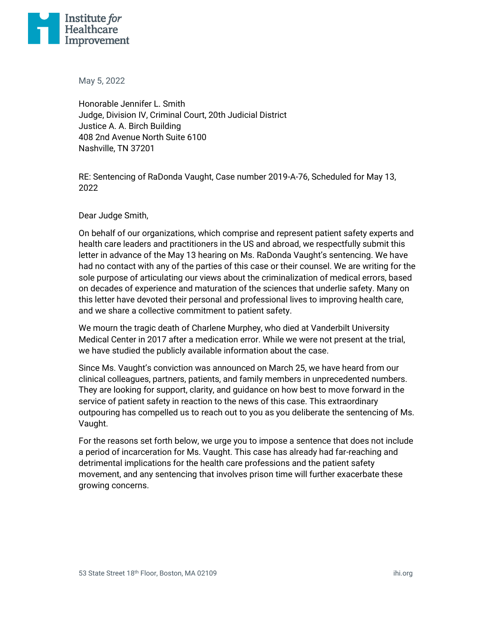

May 5, 2022

Honorable Jennifer L. Smith Judge, Division IV, Criminal Court, 20th Judicial District Justice A. A. Birch Building 408 2nd Avenue North Suite 6100 Nashville, TN 37201

RE: Sentencing of RaDonda Vaught, Case number 2019-A-76, Scheduled for May 13, 2022

Dear Judge Smith,

On behalf of our organizations, which comprise and represent patient safety experts and health care leaders and practitioners in the US and abroad, we respectfully submit this letter in advance of the May 13 hearing on Ms. RaDonda Vaught's sentencing. We have had no contact with any of the parties of this case or their counsel. We are writing for the sole purpose of articulating our views about the criminalization of medical errors, based on decades of experience and maturation of the sciences that underlie safety. Many on this letter have devoted their personal and professional lives to improving health care, and we share a collective commitment to patient safety.

We mourn the tragic death of Charlene Murphey, who died at Vanderbilt University Medical Center in 2017 after a medication error. While we were not present at the trial, we have studied the publicly available information about the case.

Since Ms. Vaught's conviction was announced on March 25, we have heard from our clinical colleagues, partners, patients, and family members in unprecedented numbers. They are looking for support, clarity, and guidance on how best to move forward in the service of patient safety in reaction to the news of this case. This extraordinary outpouring has compelled us to reach out to you as you deliberate the sentencing of Ms. Vaught.

For the reasons set forth below, we urge you to impose a sentence that does not include a period of incarceration for Ms. Vaught. This case has already had far-reaching and detrimental implications for the health care professions and the patient safety movement, and any sentencing that involves prison time will further exacerbate these growing concerns.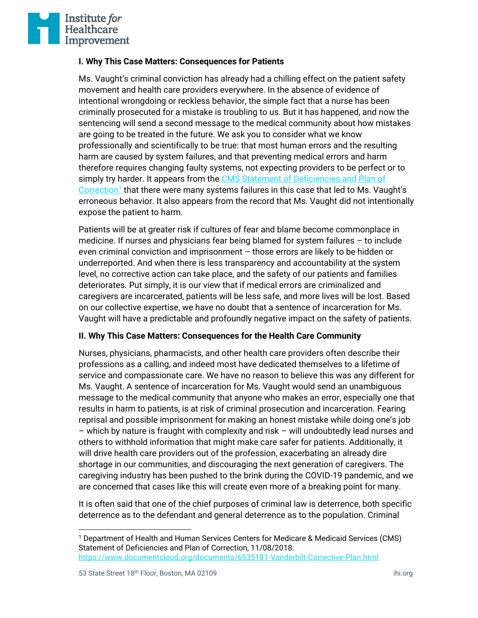

## **I. Why This Case Matters: Consequences for Patients**

Ms. Vaught's criminal conviction has already had a chilling effect on the patient safety movement and health care providers everywhere. In the absence of evidence of intentional wrongdoing or reckless behavior, the simple fact that a nurse has been criminally prosecuted for a mistake is troubling to us. But it has happened, and now the sentencing will send a second message to the medical community about how mistakes are going to be treated in the future. We ask you to consider what we know professionally and scientifically to be true: that most human errors and the resulting harm are caused by system failures, and that preventing medical errors and harm therefore requires changing faulty systems, not expecting providers to be perfect or to simply try harder. It appears from the CMS Statement of Deficiencies and Plan of [Correction](https://www.documentcloud.org/documents/6535181-Vanderbilt-Corrective-Plan.html)<sup>1</sup> that there were many systems failures in this case that led to Ms. Vaught's erroneous behavior. It also appears from the record that Ms. Vaught did not intentionally expose the patient to harm.

Patients will be at greater risk if cultures of fear and blame become commonplace in medicine. If nurses and physicians fear being blamed for system failures – to include even criminal conviction and imprisonment – those errors are likely to be hidden or underreported. And when there is less transparency and accountability at the system level, no corrective action can take place, and the safety of our patients and families deteriorates. Put simply, it is our view that if medical errors are criminalized and caregivers are incarcerated, patients will be less safe, and more lives will be lost. Based on our collective expertise, we have no doubt that a sentence of incarceration for Ms. Vaught will have a predictable and profoundly negative impact on the safety of patients.

## **II. Why This Case Matters: Consequences for the Health Care Community**

Nurses, physicians, pharmacists, and other health care providers often describe their professions as a calling, and indeed most have dedicated themselves to a lifetime of service and compassionate care. We have no reason to believe this was any different for Ms. Vaught. A sentence of incarceration for Ms. Vaught would send an unambiguous message to the medical community that anyone who makes an error, especially one that results in harm to patients, is at risk of criminal prosecution and incarceration. Fearing reprisal and possible imprisonment for making an honest mistake while doing one's job – which by nature is fraught with complexity and risk – will undoubtedly lead nurses and others to withhold information that might make care safer for patients. Additionally, it will drive health care providers out of the profession, exacerbating an already dire shortage in our communities, and discouraging the next generation of caregivers. The caregiving industry has been pushed to the brink during the COVID-19 pandemic, and we are concerned that cases like this will create even more of a breaking point for many.

It is often said that one of the chief purposes of criminal law is deterrence, both specific deterrence as to the defendant and general deterrence as to the population. Criminal

<sup>&</sup>lt;sup>1</sup> Department of Health and Human Services Centers for Medicare & Medicaid Services (CMS) Statement of Deficiencies and Plan of Correction, 11/08/2018: <https://www.documentcloud.org/documents/6535181-Vanderbilt-Corrective-Plan.html>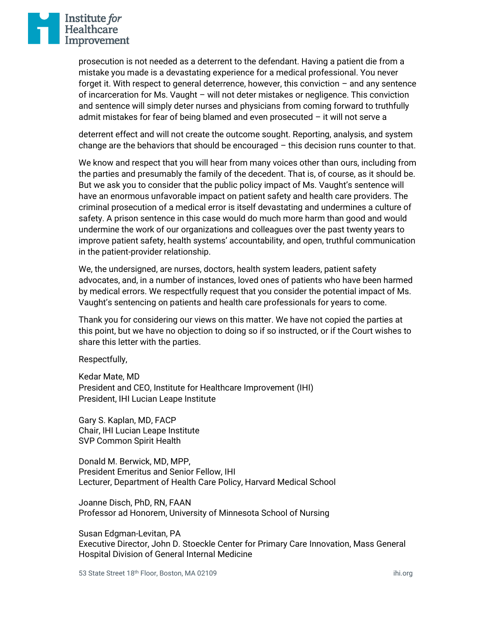

prosecution is not needed as a deterrent to the defendant. Having a patient die from a mistake you made is a devastating experience for a medical professional. You never forget it. With respect to general deterrence, however, this conviction – and any sentence of incarceration for Ms. Vaught – will not deter mistakes or negligence. This conviction and sentence will simply deter nurses and physicians from coming forward to truthfully admit mistakes for fear of being blamed and even prosecuted – it will not serve a

deterrent effect and will not create the outcome sought. Reporting, analysis, and system change are the behaviors that should be encouraged – this decision runs counter to that.

We know and respect that you will hear from many voices other than ours, including from the parties and presumably the family of the decedent. That is, of course, as it should be. But we ask you to consider that the public policy impact of Ms. Vaught's sentence will have an enormous unfavorable impact on patient safety and health care providers. The criminal prosecution of a medical error is itself devastating and undermines a culture of safety. A prison sentence in this case would do much more harm than good and would undermine the work of our organizations and colleagues over the past twenty years to improve patient safety, health systems' accountability, and open, truthful communication in the patient-provider relationship.

We, the undersigned, are nurses, doctors, health system leaders, patient safety advocates, and, in a number of instances, loved ones of patients who have been harmed by medical errors. We respectfully request that you consider the potential impact of Ms. Vaught's sentencing on patients and health care professionals for years to come.

Thank you for considering our views on this matter. We have not copied the parties at this point, but we have no objection to doing so if so instructed, or if the Court wishes to share this letter with the parties.

Respectfully,

Kedar Mate, MD President and CEO, Institute for Healthcare Improvement (IHI) President, IHI Lucian Leape Institute

Gary S. Kaplan, MD, FACP Chair, IHI Lucian Leape Institute SVP Common Spirit Health

Donald M. Berwick, MD, MPP, President Emeritus and Senior Fellow, IHI Lecturer, Department of Health Care Policy, Harvard Medical School

Joanne Disch, PhD, RN, FAAN Professor ad Honorem, University of Minnesota School of Nursing

Susan Edgman-Levitan, PA Executive Director, John D. Stoeckle Center for Primary Care Innovation, Mass General Hospital Division of General Internal Medicine